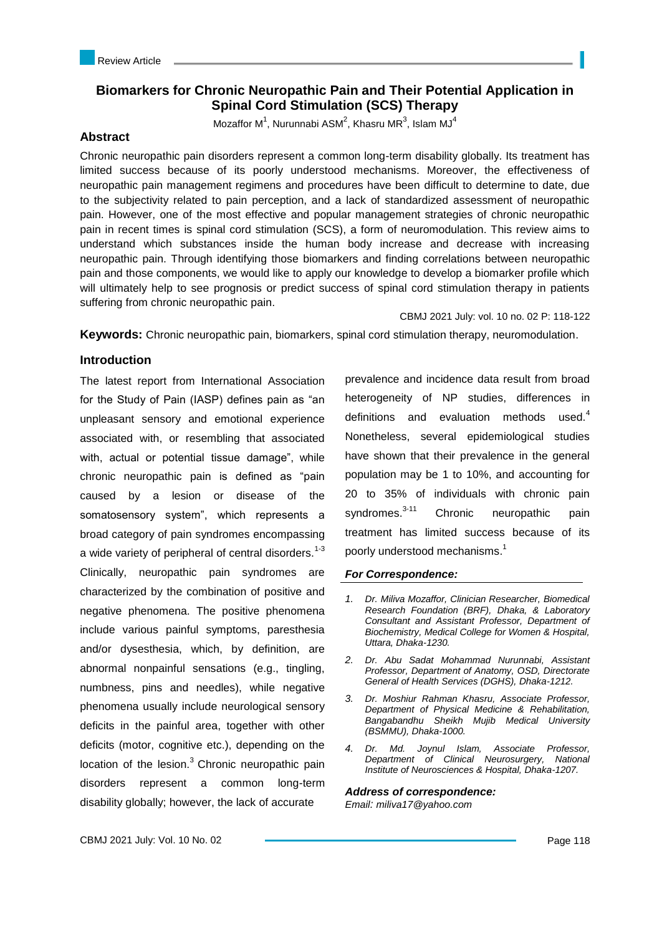# **Biomarkers for Chronic Neuropathic Pain and Their Potential Application in Spinal Cord Stimulation (SCS) Therapy**

Mozaffor M<sup>1</sup>, Nurunnabi ASM<sup>2</sup>, Khasru MR<sup>3</sup>, Islam MJ<sup>4</sup>

### **Abstract**

Chronic neuropathic pain disorders represent a common long-term disability globally. Its treatment has limited success because of its poorly understood mechanisms. Moreover, the effectiveness of neuropathic pain management regimens and procedures have been difficult to determine to date, due to the subjectivity related to pain perception, and a lack of standardized assessment of neuropathic pain. However, one of the most effective and popular management strategies of chronic neuropathic pain in recent times is spinal cord stimulation (SCS), a form of neuromodulation. This review aims to understand which substances inside the human body increase and decrease with increasing neuropathic pain. Through identifying those biomarkers and finding correlations between neuropathic pain and those components, we would like to apply our knowledge to develop a biomarker profile which will ultimately help to see prognosis or predict success of spinal cord stimulation therapy in patients suffering from chronic neuropathic pain.

CBMJ 2021 July: vol. 10 no. 02 P: 118-122

**Keywords:** Chronic neuropathic pain, biomarkers, spinal cord stimulation therapy, neuromodulation.

## **Introduction**

The latest report from International Association for the Study of Pain (IASP) defines pain as "an unpleasant sensory and emotional experience associated with, or resembling that associated with, actual or potential tissue damage", while chronic neuropathic pain is defined as "pain caused by a lesion or disease of the somatosensory system", which represents a broad category of pain syndromes encompassing a wide variety of peripheral of central disorders.<sup>1-3</sup> Clinically, neuropathic pain syndromes are characterized by the combination of positive and negative phenomena. The positive phenomena include various painful symptoms, paresthesia and/or dysesthesia, which, by definition, are abnormal nonpainful sensations (e.g., tingling, numbness, pins and needles), while negative phenomena usually include neurological sensory deficits in the painful area, together with other deficits (motor, cognitive etc.), depending on the location of the lesion. $3$  Chronic neuropathic pain disorders represent a common long-term disability globally; however, the lack of accurate

prevalence and incidence data result from broad heterogeneity of NP studies, differences in definitions and evaluation methods used.<sup>4</sup> Nonetheless, several epidemiological studies have shown that their prevalence in the general population may be 1 to 10%, and accounting for 20 to 35% of individuals with chronic pain syndromes.<sup>3-11</sup> Chronic neuropathic pain treatment has limited success because of its poorly understood mechanisms. 1

### *For Correspondence:*

- *1. Dr. Miliva Mozaffor, Clinician Researcher, Biomedical Research Foundation (BRF), Dhaka, & Laboratory Consultant and Assistant Professor, Department of Biochemistry, Medical College for Women & Hospital, Uttara, Dhaka-1230.*
- *2. Dr. Abu Sadat Mohammad Nurunnabi, Assistant Professor, Department of Anatomy, OSD, Directorate General of Health Services (DGHS), Dhaka-1212.*
- *3. Dr. Moshiur Rahman Khasru, Associate Professor, Department of Physical Medicine & Rehabilitation, Bangabandhu Sheikh Mujib Medical University (BSMMU), Dhaka-1000.*
- *4. Dr. Md. Joynul Islam, Associate Professor, Department of Clinical Neurosurgery, National Institute of Neurosciences & Hospital, Dhaka-1207.*

*Address of correspondence:* 

*Email: miliva17@yahoo.com*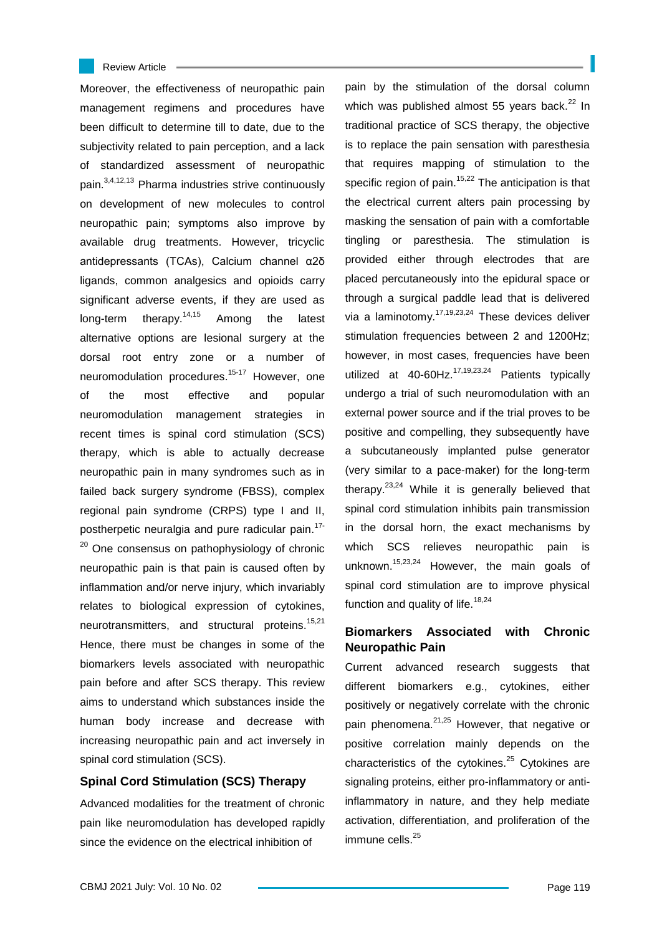#### Review Article

Moreover, the effectiveness of neuropathic pain management regimens and procedures have been difficult to determine till to date, due to the subjectivity related to pain perception, and a lack of standardized assessment of neuropathic pain.3,4,12,13 Pharma industries strive continuously on development of new molecules to control neuropathic pain; symptoms also improve by available drug treatments. However, tricyclic antidepressants (TCAs), Calcium channel α2δ ligands, common analgesics and opioids carry significant adverse events, if they are used as long-term therapy.<sup>14,15</sup> Among the latest alternative options are lesional surgery at the dorsal root entry zone or a number of neuromodulation procedures.<sup>15-17</sup> However, one of the most effective and popular neuromodulation management strategies in recent times is spinal cord stimulation (SCS) therapy, which is able to actually decrease neuropathic pain in many syndromes such as in failed back surgery syndrome (FBSS), complex regional pain syndrome (CRPS) type I and II, postherpetic neuralgia and pure radicular pain. 17- <sup>20</sup> One consensus on pathophysiology of chronic neuropathic pain is that pain is caused often by inflammation and/or nerve injury, which invariably relates to biological expression of cytokines, neurotransmitters, and structural proteins.<sup>15,21</sup> Hence, there must be changes in some of the biomarkers levels associated with neuropathic pain before and after SCS therapy. This review aims to understand which substances inside the human body increase and decrease with increasing neuropathic pain and act inversely in spinal cord stimulation (SCS).

### **Spinal Cord Stimulation (SCS) Therapy**

Advanced modalities for the treatment of chronic pain like neuromodulation has developed rapidly since the evidence on the electrical inhibition of

pain by the stimulation of the dorsal column which was published almost 55 years back. $22 \ln$ traditional practice of SCS therapy, the objective is to replace the pain sensation with paresthesia that requires mapping of stimulation to the specific region of pain.<sup>15,22</sup> The anticipation is that the electrical current alters pain processing by masking the sensation of pain with a comfortable tingling or paresthesia. The stimulation is provided either through electrodes that are placed percutaneously into the epidural space or through a surgical paddle lead that is delivered via a laminotomy.<sup>17,19,23,24</sup> These devices deliver stimulation frequencies between 2 and 1200Hz; however, in most cases, frequencies have been utilized at 40-60Hz. $17,19,23,24$  Patients typically undergo a trial of such neuromodulation with an external power source and if the trial proves to be positive and compelling, they subsequently have a subcutaneously implanted pulse generator (very similar to a pace-maker) for the long-term therapy.<sup>23,24</sup> While it is generally believed that spinal cord stimulation inhibits pain transmission in the dorsal horn, the exact mechanisms by which SCS relieves neuropathic pain is unknown.<sup>15,23,24</sup> However, the main goals of spinal cord stimulation are to improve physical function and quality of life.<sup>18,24</sup>

# **Biomarkers Associated with Chronic Neuropathic Pain**

Current advanced research suggests that different biomarkers e.g., cytokines, either positively or negatively correlate with the chronic pain phenomena.<sup>21,25</sup> However, that negative or positive correlation mainly depends on the characteristics of the cytokines.<sup>25</sup> Cytokines are signaling proteins, either pro-inflammatory or antiinflammatory in nature, and they help mediate activation, differentiation, and proliferation of the immune cells.<sup>25</sup>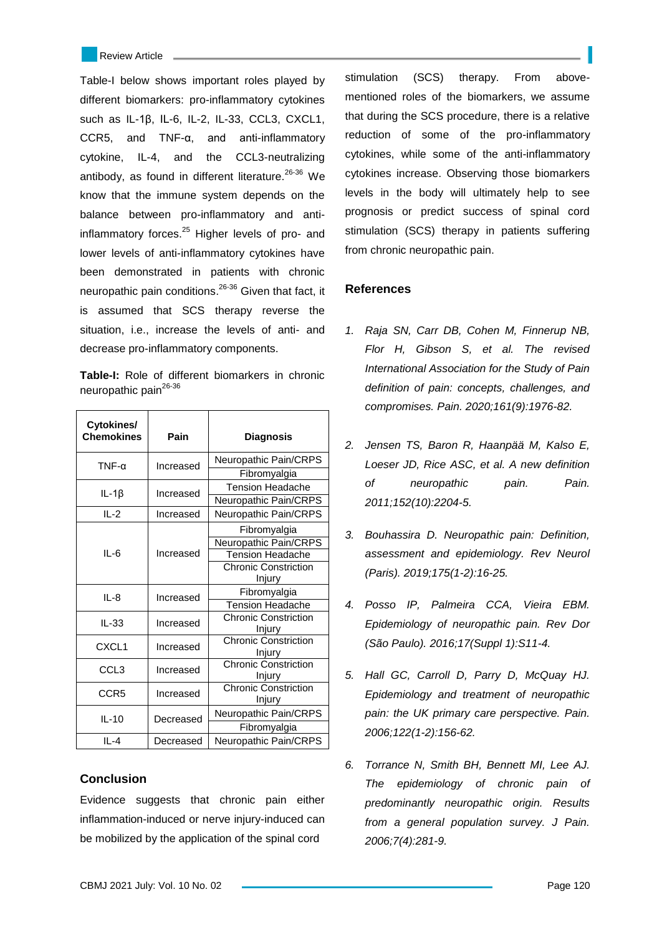Review Article

Table-I below shows important roles played by different biomarkers: pro-inflammatory cytokines such as IL-1β, IL-6, IL-2, IL-33, CCL3, CXCL1, CCR5, and TNF-α, and anti-inflammatory cytokine, IL-4, and the CCL3-neutralizing antibody, as found in different literature. $26-36$  We know that the immune system depends on the balance between pro-inflammatory and antiinflammatory forces. $25$  Higher levels of pro- and lower levels of anti-inflammatory cytokines have been demonstrated in patients with chronic neuropathic pain conditions.26-36 Given that fact, it is assumed that SCS therapy reverse the situation, i.e., increase the levels of anti- and decrease pro-inflammatory components.

**Table-I:** Role of different biomarkers in chronic neuropathic pain<sup>26-36</sup>

| Cytokines/<br><b>Chemokines</b> | Pain      | <b>Diagnosis</b>            |
|---------------------------------|-----------|-----------------------------|
| $TNF-\alpha$                    | Increased | Neuropathic Pain/CRPS       |
|                                 |           | Fibromyalgia                |
| $IL-1\beta$                     | Increased | <b>Tension Headache</b>     |
|                                 |           | Neuropathic Pain/CRPS       |
| $IL-2$                          | Increased | Neuropathic Pain/CRPS       |
| $II - 6$                        | Increased | Fibromyalgia                |
|                                 |           | Neuropathic Pain/CRPS       |
|                                 |           | Tension Headache            |
|                                 |           | <b>Chronic Constriction</b> |
|                                 |           | <u>Injury</u>               |
| $IL-8$                          | Increased | Fibromyalgia                |
|                                 |           | <b>Tension Headache</b>     |
| $IL-33$                         | Increased | <b>Chronic Constriction</b> |
|                                 |           | Injury                      |
| CXCL <sub>1</sub>               | Increased | Chronic Constriction        |
|                                 |           | Injury                      |
| CCL <sub>3</sub>                | Increased | <b>Chronic Constriction</b> |
|                                 |           | Injury                      |
| CCR <sub>5</sub>                | Increased | <b>Chronic Constriction</b> |
|                                 |           | Injury                      |
| $IL-10$                         | Decreased | Neuropathic Pain/CRPS       |
|                                 |           | Fibromyalgia                |
| $II -4$                         | Decreased | Neuropathic Pain/CRPS       |

## **Conclusion**

Evidence suggests that chronic pain either inflammation-induced or nerve injury-induced can be mobilized by the application of the spinal cord

stimulation (SCS) therapy. From abovementioned roles of the biomarkers, we assume that during the SCS procedure, there is a relative reduction of some of the pro-inflammatory cytokines, while some of the anti-inflammatory cytokines increase. Observing those biomarkers levels in the body will ultimately help to see prognosis or predict success of spinal cord stimulation (SCS) therapy in patients suffering from chronic neuropathic pain.

## **References**

- *1. Raja SN, Carr DB, Cohen M, Finnerup NB, Flor H, Gibson S, et al. The revised International Association for the Study of Pain definition of pain: concepts, challenges, and compromises. Pain. 2020;161(9):1976-82.*
- *2. Jensen TS, Baron R, Haanpää M, Kalso E, Loeser JD, Rice ASC, et al. A new definition of neuropathic pain. Pain. 2011;152(10):2204-5.*
- *3. Bouhassira D. Neuropathic pain: Definition, assessment and epidemiology. Rev Neurol (Paris). 2019;175(1-2):16-25.*
- *4. Posso IP, Palmeira CCA, Vieira EBM. Epidemiology of neuropathic pain. Rev Dor (São Paulo). 2016;17(Suppl 1):S11-4.*
- *5. Hall GC, Carroll D, Parry D, McQuay HJ. Epidemiology and treatment of neuropathic pain: the UK primary care perspective. Pain. 2006;122(1-2):156-62.*
- *6. Torrance N, Smith BH, Bennett MI, Lee AJ. The epidemiology of chronic pain of predominantly neuropathic origin. Results from a general population survey. J Pain. 2006;7(4):281-9.*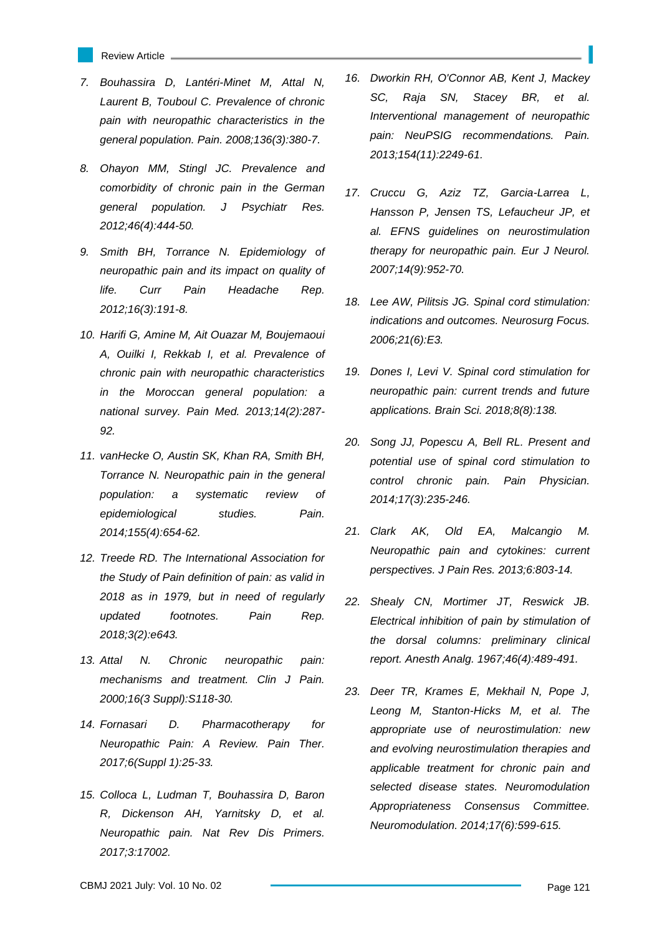- Review Article
- *7. Bouhassira D, Lantéri-Minet M, Attal N, Laurent B, Touboul C. Prevalence of chronic pain with neuropathic characteristics in the general population. Pain. 2008;136(3):380-7.*
- *8. Ohayon MM, Stingl JC. Prevalence and comorbidity of chronic pain in the German general population. J Psychiatr Res. 2012;46(4):444-50.*
- *9. Smith BH, Torrance N. Epidemiology of neuropathic pain and its impact on quality of life. Curr Pain Headache Rep. 2012;16(3):191-8.*
- *10. Harifi G, Amine M, Ait Ouazar M, Boujemaoui A, Ouilki I, Rekkab I, et al. Prevalence of chronic pain with neuropathic characteristics in the Moroccan general population: a national survey. Pain Med. 2013;14(2):287- 92.*
- *11. vanHecke O, Austin SK, Khan RA, Smith BH, Torrance N. Neuropathic pain in the general population: a systematic review of epidemiological studies. Pain. 2014;155(4):654-62.*
- *12. Treede RD. The International Association for the Study of Pain definition of pain: as valid in 2018 as in 1979, but in need of regularly updated footnotes. Pain Rep. 2018;3(2):e643.*
- *13. Attal N. Chronic neuropathic pain: mechanisms and treatment. Clin J Pain. 2000;16(3 Suppl):S118-30.*
- *14. Fornasari D. Pharmacotherapy for Neuropathic Pain: A Review. Pain Ther. 2017;6(Suppl 1):25-33.*
- *15. Colloca L, Ludman T, Bouhassira D, Baron R, Dickenson AH, Yarnitsky D, et al. Neuropathic pain. Nat Rev Dis Primers. 2017;3:17002.*
- *16. Dworkin RH, O'Connor AB, Kent J, Mackey SC, Raja SN, Stacey BR, et al. Interventional management of neuropathic pain: NeuPSIG recommendations. Pain. 2013;154(11):2249-61.*
- *17. Cruccu G, Aziz TZ, Garcia-Larrea L, Hansson P, Jensen TS, Lefaucheur JP, et al. EFNS guidelines on neurostimulation therapy for neuropathic pain. Eur J Neurol. 2007;14(9):952-70.*
- *18. Lee AW, Pilitsis JG. Spinal cord stimulation: indications and outcomes. Neurosurg Focus. 2006;21(6):E3.*
- *19. Dones I, Levi V. Spinal cord stimulation for neuropathic pain: current trends and future applications. Brain Sci. 2018;8(8):138.*
- *20. Song JJ, Popescu A, Bell RL. Present and potential use of spinal cord stimulation to control chronic pain. Pain Physician. 2014;17(3):235-246.*
- *21. Clark AK, Old EA, Malcangio M. Neuropathic pain and cytokines: current perspectives. J Pain Res. 2013;6:803-14.*
- *22. Shealy CN, Mortimer JT, Reswick JB. Electrical inhibition of pain by stimulation of the dorsal columns: preliminary clinical report. Anesth Analg. 1967;46(4):489-491.*
- *23. Deer TR, Krames E, Mekhail N, Pope J, Leong M, Stanton-Hicks M, et al. The appropriate use of neurostimulation: new and evolving neurostimulation therapies and applicable treatment for chronic pain and selected disease states. Neuromodulation Appropriateness Consensus Committee. Neuromodulation. 2014;17(6):599-615.*